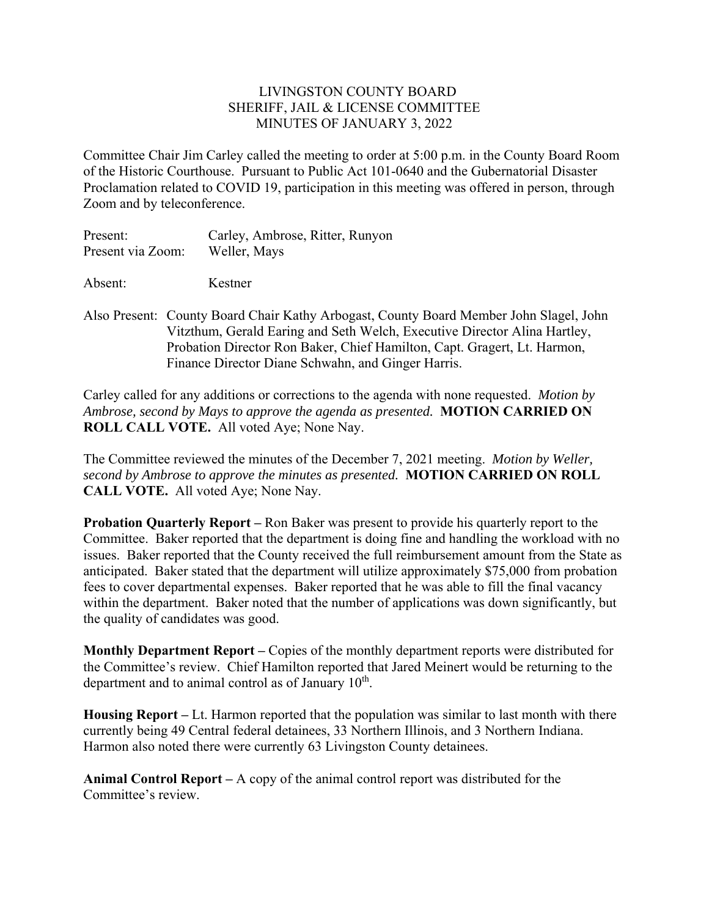## LIVINGSTON COUNTY BOARD SHERIFF, JAIL & LICENSE COMMITTEE MINUTES OF JANUARY 3, 2022

Committee Chair Jim Carley called the meeting to order at 5:00 p.m. in the County Board Room of the Historic Courthouse. Pursuant to Public Act 101-0640 and the Gubernatorial Disaster Proclamation related to COVID 19, participation in this meeting was offered in person, through Zoom and by teleconference.

| Present:          | Carley, Ambrose, Ritter, Runyon |
|-------------------|---------------------------------|
| Present via Zoom: | Weller, Mays                    |
| Absent:           | Kestner                         |

Also Present: County Board Chair Kathy Arbogast, County Board Member John Slagel, John Vitzthum, Gerald Earing and Seth Welch, Executive Director Alina Hartley, Probation Director Ron Baker, Chief Hamilton, Capt. Gragert, Lt. Harmon, Finance Director Diane Schwahn, and Ginger Harris.

Carley called for any additions or corrections to the agenda with none requested. *Motion by Ambrose, second by Mays to approve the agenda as presented.* **MOTION CARRIED ON ROLL CALL VOTE.** All voted Aye; None Nay.

The Committee reviewed the minutes of the December 7, 2021 meeting. *Motion by Weller, second by Ambrose to approve the minutes as presented.* **MOTION CARRIED ON ROLL CALL VOTE.** All voted Aye; None Nay.

**Probation Quarterly Report –** Ron Baker was present to provide his quarterly report to the Committee. Baker reported that the department is doing fine and handling the workload with no issues. Baker reported that the County received the full reimbursement amount from the State as anticipated. Baker stated that the department will utilize approximately \$75,000 from probation fees to cover departmental expenses. Baker reported that he was able to fill the final vacancy within the department. Baker noted that the number of applications was down significantly, but the quality of candidates was good.

**Monthly Department Report –** Copies of the monthly department reports were distributed for the Committee's review. Chief Hamilton reported that Jared Meinert would be returning to the department and to animal control as of January  $10<sup>th</sup>$ .

**Housing Report –** Lt. Harmon reported that the population was similar to last month with there currently being 49 Central federal detainees, 33 Northern Illinois, and 3 Northern Indiana. Harmon also noted there were currently 63 Livingston County detainees.

**Animal Control Report –** A copy of the animal control report was distributed for the Committee's review.